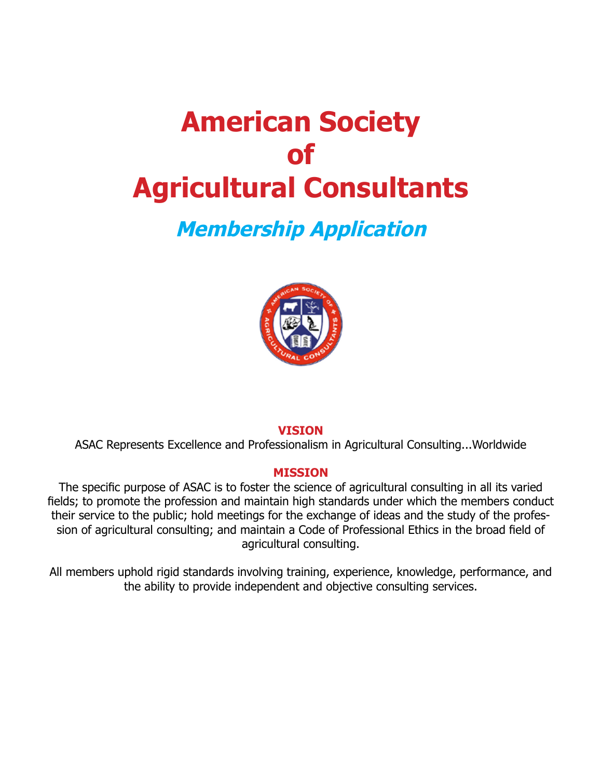# **American Society of Agricultural Consultants**

## **Membership Application**



#### **VISION**

ASAC Represents Excellence and Professionalism in Agricultural Consulting...Worldwide

#### **MISSION**

The specific purpose of ASAC is to foster the science of agricultural consulting in all its varied fields; to promote the profession and maintain high standards under which the members conduct their service to the public; hold meetings for the exchange of ideas and the study of the profession of agricultural consulting; and maintain a Code of Professional Ethics in the broad field of agricultural consulting.

All members uphold rigid standards involving training, experience, knowledge, performance, and the ability to provide independent and objective consulting services.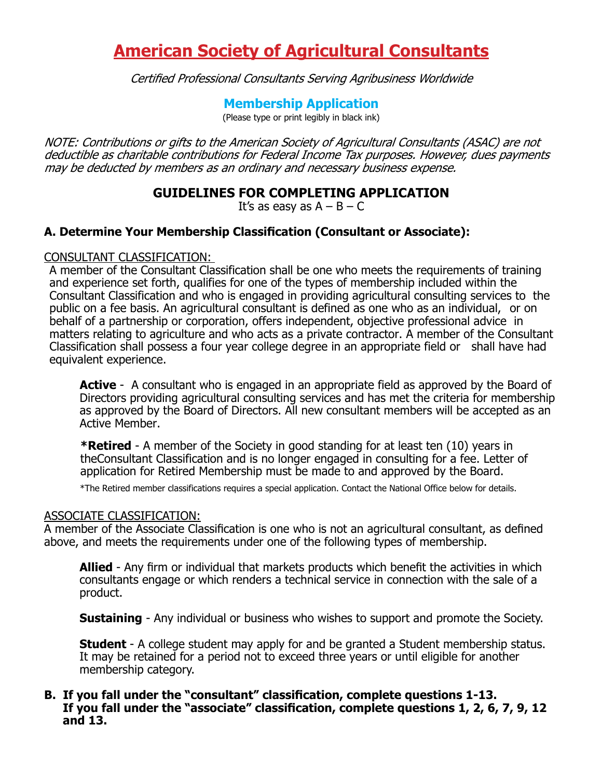### **American Society of Agricultural Consultants**

Certified Professional Consultants Serving Agribusiness Worldwide

#### **Membership Application**

(Please type or print legibly in black ink)

NOTE: Contributions or gifts to the American Society of Agricultural Consultants (ASAC) are not deductible as charitable contributions for Federal Income Tax purposes. However, dues payments may be deducted by members as an ordinary and necessary business expense.

#### **GUIDELINES FOR COMPLETING APPLICATION**

It's as easy as  $A - B - C$ 

#### **A. Determine Your Membership Classification (Consultant or Associate):**

#### CONSULTANT CLASSIFICATION:

A member of the Consultant Classification shall be one who meets the requirements of training and experience set forth, qualifies for one of the types of membership included within the Consultant Classification and who is engaged in providing agricultural consulting services to the public on a fee basis. An agricultural consultant is defined as one who as an individual, or on behalf of a partnership or corporation, offers independent, objective professional advice in matters relating to agriculture and who acts as a private contractor. A member of the Consultant Classification shall possess a four year college degree in an appropriate field or shall have had equivalent experience.

**Active** - A consultant who is engaged in an appropriate field as approved by the Board of Directors providing agricultural consulting services and has met the criteria for membership as approved by the Board of Directors. All new consultant members will be accepted as an Active Member.

**\*Retired** - A member of the Society in good standing for at least ten (10) years in theConsultant Classification and is no longer engaged in consulting for a fee. Letter of application for Retired Membership must be made to and approved by the Board.

\*The Retired member classifications requires a special application. Contact the National Office below for details.

#### ASSOCIATE CLASSIFICATION:

A member of the Associate Classification is one who is not an agricultural consultant, as defined above, and meets the requirements under one of the following types of membership.

**Allied** - Any firm or individual that markets products which benefit the activities in which consultants engage or which renders a technical service in connection with the sale of a product.

**Sustaining** - Any individual or business who wishes to support and promote the Society.

**Student** - A college student may apply for and be granted a Student membership status. It may be retained for a period not to exceed three years or until eligible for another membership category.

#### **B. If you fall under the "consultant" classification, complete questions 1-13. If you fall under the "associate" classification, complete questions 1, 2, 6, 7, 9, 12 and 13.**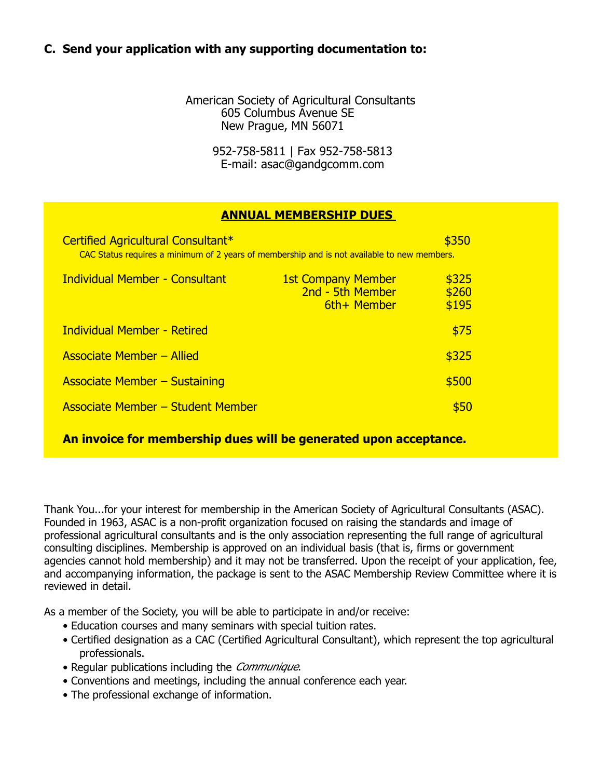#### **C. Send your application with any supporting documentation to:**

American Society of Agricultural Consultants 605 Columbus Avenue SE New Prague, MN 56071

> 952-758-5811 | Fax 952-758-5813 E-mail: asac@gandgcomm.com

#### **ANNUAL MEMBERSHIP DUES**

| Certified Agricultural Consultant*<br>\$350<br>CAC Status requires a minimum of 2 years of membership and is not available to new members. |                                                              |                         |  |
|--------------------------------------------------------------------------------------------------------------------------------------------|--------------------------------------------------------------|-------------------------|--|
| <b>Individual Member - Consultant</b>                                                                                                      | <b>1st Company Member</b><br>2nd - 5th Member<br>6th+ Member | \$325<br>\$260<br>\$195 |  |
| <b>Individual Member - Retired</b>                                                                                                         |                                                              | \$75                    |  |
| <b>Associate Member - Allied</b>                                                                                                           |                                                              | \$325                   |  |
| <b>Associate Member - Sustaining</b>                                                                                                       |                                                              | \$500                   |  |
| <b>Associate Member – Student Member</b>                                                                                                   |                                                              | \$50                    |  |

**An invoice for membership dues will be generated upon acceptance.**

Thank You...for your interest for membership in the American Society of Agricultural Consultants (ASAC). Founded in 1963, ASAC is a non-profit organization focused on raising the standards and image of professional agricultural consultants and is the only association representing the full range of agricultural consulting disciplines. Membership is approved on an individual basis (that is, firms or government agencies cannot hold membership) and it may not be transferred. Upon the receipt of your application, fee, and accompanying information, the package is sent to the ASAC Membership Review Committee where it is reviewed in detail.

As a member of the Society, you will be able to participate in and/or receive:

- Education courses and many seminars with special tuition rates.
- Certified designation as a CAC (Certified Agricultural Consultant), which represent the top agricultural professionals.
- Regular publications including the *Communique*.
- Conventions and meetings, including the annual conference each year.
- The professional exchange of information.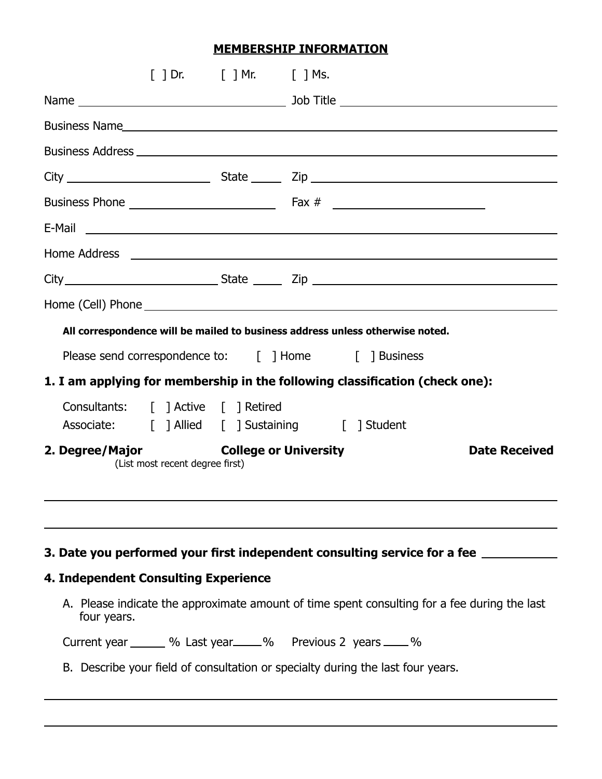#### **MEMBERSHIP INFORMATION**

| Business Name. And the same state of the state of the state of the state of the state of the state of the state of the state of the state of the state of the state of the state of the state of the state of the state of the                                                                                                                                                                         |                      |
|--------------------------------------------------------------------------------------------------------------------------------------------------------------------------------------------------------------------------------------------------------------------------------------------------------------------------------------------------------------------------------------------------------|----------------------|
|                                                                                                                                                                                                                                                                                                                                                                                                        |                      |
|                                                                                                                                                                                                                                                                                                                                                                                                        |                      |
|                                                                                                                                                                                                                                                                                                                                                                                                        |                      |
|                                                                                                                                                                                                                                                                                                                                                                                                        |                      |
|                                                                                                                                                                                                                                                                                                                                                                                                        |                      |
| E-Mail <b>E-Mail E-Mail E-Mail E-Mail <b>E-Mail E-Mail </b></b>                                                                                                                                                                                                                                                                                                                                        |                      |
|                                                                                                                                                                                                                                                                                                                                                                                                        |                      |
|                                                                                                                                                                                                                                                                                                                                                                                                        |                      |
|                                                                                                                                                                                                                                                                                                                                                                                                        |                      |
| All correspondence will be mailed to business address unless otherwise noted.<br>Please send correspondence to: [ ] Home [ ] Business<br>1. I am applying for membership in the following classification (check one):<br>Consultants: [ ] Active [ ] Retired<br>Associate: [ ] Allied [ ] Sustaining [ ] Student<br><b>College or University</b><br>2. Degree/Major<br>(List most recent degree first) | <b>Date Received</b> |
| 3. Date you performed your first independent consulting service for a fee ______<br><b>4. Independent Consulting Experience</b><br>A. Please indicate the approximate amount of time spent consulting for a fee during the last                                                                                                                                                                        |                      |
|                                                                                                                                                                                                                                                                                                                                                                                                        |                      |
| four years.<br>Current year _______ % Last year _____ % Previous 2 years ____ %                                                                                                                                                                                                                                                                                                                        |                      |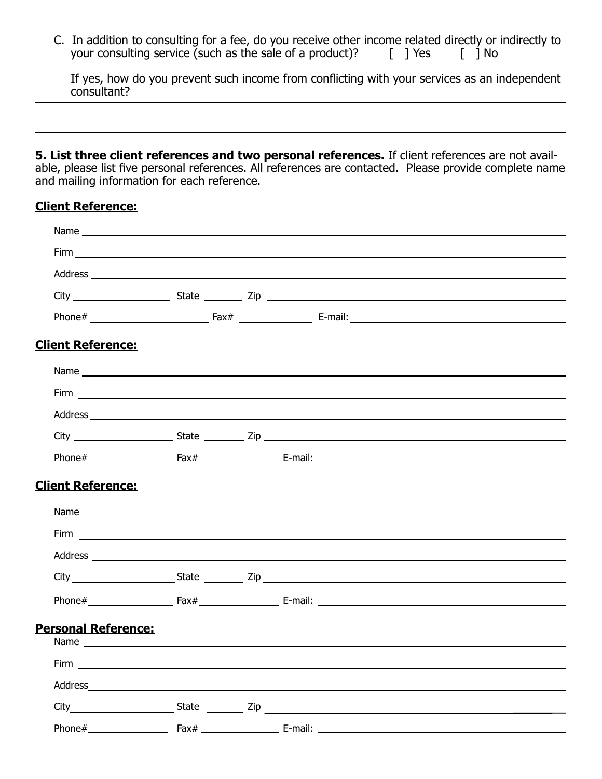C. In addition to consulting for a fee, do you receive other income related directly or indirectly to your consulting service (such as the sale of a product)?  $\begin{bmatrix} \end{bmatrix}$  Yes  $\begin{bmatrix} \end{bmatrix}$  No

If yes, how do you prevent such income from conflicting with your services as an independent consultant?

**5. List three client references and two personal references.** If client references are not available, please list five personal references. All references are contacted. Please provide complete name and mailing information for each reference.

#### **Client Reference:**

| <b>Client Reference:</b>                                                                                                                                                                                                             |  |  |  |  |  |
|--------------------------------------------------------------------------------------------------------------------------------------------------------------------------------------------------------------------------------------|--|--|--|--|--|
|                                                                                                                                                                                                                                      |  |  |  |  |  |
|                                                                                                                                                                                                                                      |  |  |  |  |  |
|                                                                                                                                                                                                                                      |  |  |  |  |  |
|                                                                                                                                                                                                                                      |  |  |  |  |  |
|                                                                                                                                                                                                                                      |  |  |  |  |  |
| <b>Client Reference:</b>                                                                                                                                                                                                             |  |  |  |  |  |
|                                                                                                                                                                                                                                      |  |  |  |  |  |
|                                                                                                                                                                                                                                      |  |  |  |  |  |
| Address <b>example and a series of the series of the series of the series of the series of the series of the series of the series of the series of the series of the series of the series of the series of the series of the ser</b> |  |  |  |  |  |
|                                                                                                                                                                                                                                      |  |  |  |  |  |
|                                                                                                                                                                                                                                      |  |  |  |  |  |
| Personal Reference:                                                                                                                                                                                                                  |  |  |  |  |  |
|                                                                                                                                                                                                                                      |  |  |  |  |  |
|                                                                                                                                                                                                                                      |  |  |  |  |  |
|                                                                                                                                                                                                                                      |  |  |  |  |  |
|                                                                                                                                                                                                                                      |  |  |  |  |  |
|                                                                                                                                                                                                                                      |  |  |  |  |  |
|                                                                                                                                                                                                                                      |  |  |  |  |  |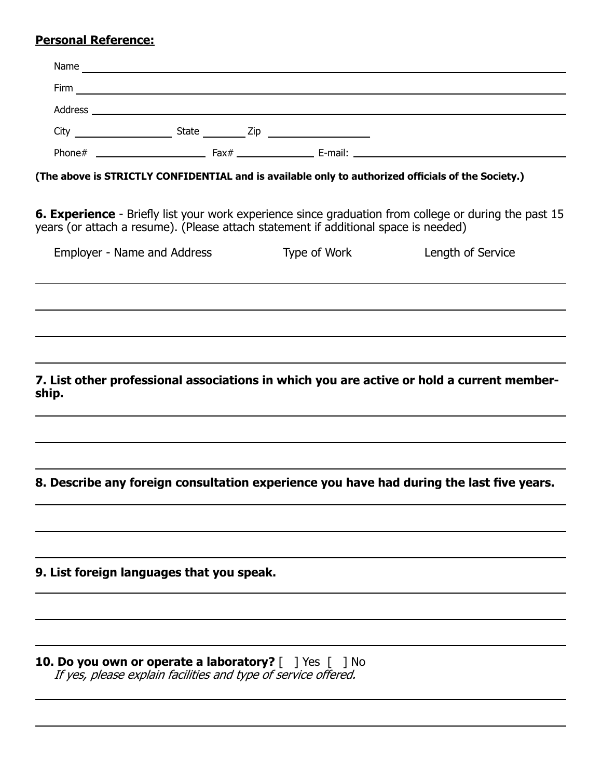#### **Personal Reference:**

| Name    |       |     |         |  |
|---------|-------|-----|---------|--|
| Firm    |       |     |         |  |
| Address |       |     |         |  |
| City    | State | Zip |         |  |
| Phone#  | Fax#  |     | E-mail: |  |

**(The above is STRICTLY CONFIDENTIAL and is available only to authorized officials of the Society.)**

**6. Experience** - Briefly list your work experience since graduation from college or during the past 15 years (or attach a resume). (Please attach statement if additional space is needed)

| Employer - Name and Address                                                                        | Type of Work | Length of Service |
|----------------------------------------------------------------------------------------------------|--------------|-------------------|
|                                                                                                    |              |                   |
|                                                                                                    |              |                   |
|                                                                                                    |              |                   |
| 7. List other professional associations in which you are active or hold a current member-<br>ship. |              |                   |
|                                                                                                    |              |                   |
| 8. Describe any foreign consultation experience you have had during the last five years.           |              |                   |
|                                                                                                    |              |                   |
| 9. List foreign languages that you speak.                                                          |              |                   |
|                                                                                                    |              |                   |
|                                                                                                    |              |                   |

**10. Do you own or operate a laboratory?** [ ] Yes [ ] No If yes, please explain facilities and type of service offered.